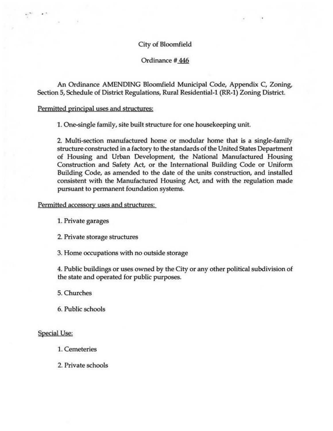## City of Bloomfield

# Ordinance # 446

An Ordinance AMENDING Bloomfield Municipal Code, Appendix C, Zoning, Section 5, Schedule of District Regulations, Rural Residential-1 (RR-1) Zoning District.

## Permitted principal uses and structures:

..

1. One-single family, site built structure for one housekeeping unit.

2. Multi-section manufactured home or modular home that is a single-family structure constructed in a factory to the standards of the United States Department of Housing and Urban Development, the National Manufactured Housing Construction and Safety Act, or the International Building Code or Uniform Building Code, as amended to the date of the units construction, and installed consistent with the Manufactured Housing Act, and with the regulation made pursuant to permanent foundation systems.

# Permitted accessory uses and structures:

1. Private garages

2. Private storage structures

3. Home occupations with no outside storage

4. Public buildings or uses owned by the City or any other political subdivision of the state and operated for public purposes.

5. Churches

6. Public schools

#### Special Use:

1. Cemeteries

2. Private schools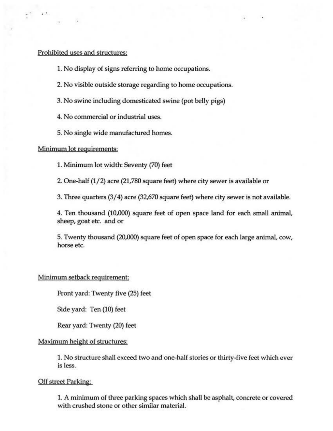# Prohibited uses and structures:

- 1. No display of signs referring to home occupations.
- 2. No visible outside storage regarding to home occupations.
- 3. No swine including domesticated swine (pot belly pigs)
- 4. No commercial or industrial uses.
- 5. No single wide manufactured homes.

## Minimum lot requirements:

1. Minimum lot width: Seventy (70) feet

2. One-half (1/2) acre (21,780 square feet) where city sewer is available or

3. Three quarters (3/ 4) acre (32,670 square feet) where city sewer is not available.

4. Ten thousand (10,000) square feet of open space land for each small animal, sheep, goat etc. and or

5. Twenty thousand (20,000) square feet of open space for each large animal, cow, horse etc.

# Minimum setback requirement:

Front yard: Twenty five (25) feet

Side yard: Ten (10) feet

Rear yard: Twenty (20) feet

# Maximum height of structures:

1. No structure shall exceed two and one-half stories or thirty-five feet which ever is less.

# Off street Parking:

1. A minimum of three parking spaces which shall be asphalt, concrete or covered with crushed stone or other similar material.